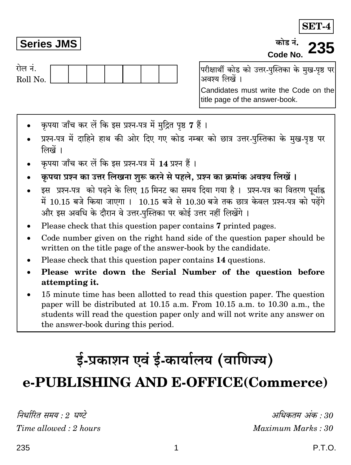## **Series JMS**

कोड़ नं. Code No.

गेल नं Roll No. परीक्षार्थी कोड को उत्तर-पस्तिका के मख-पष्ठ पर अवश्य लिखें ।

Candidates must write the Code on the title page of the answer-book.

- कपया जाँच कर लें कि इस प्रश्न-पत्र में मुद्रित पृष्ठ 7 हैं।
- प्रश्न-पत्र में दाहिने हाथ की ओर दिए गए कोड नम्बर को छात्र उत्तर-पस्तिका के मख-पष्ठ पर लिखें ।
- कपया जाँच कर लें कि इस प्रश्न-पत्र में 14 प्रश्न हैं।
- कृपया प्रश्न का उत्तर लिखना शुरू करने से पहले, प्रश्न का क्रमांक अवश्य लिखें।
- इस प्रश्न-पत्र को पढने के लिए 15 मिनट का समय दिया गया है। प्रश्न-पत्र का वितरण पूर्वाह्न में 10.15 बजे किया जाएगा । 10.15 बजे से 10.30 बजे तक छात्र केवल प्रश्न-पत्र को पढ़ेंगे और इस अवधि के दौरान वे उत्तर-पुस्तिका पर कोई उत्तर नहीं लिखेंगे।
- Please check that this question paper contains 7 printed pages.
- Code number given on the right hand side of the question paper should be written on the title page of the answer-book by the candidate.
- Please check that this question paper contains 14 questions.
- Please write down the Serial Number of the question before attempting it.
- 15 minute time has been allotted to read this question paper. The question paper will be distributed at 10.15 a.m. From 10.15 a.m. to 10.30 a.m., the students will read the question paper only and will not write any answer on the answer-book during this period.

# ई-प्रकाशन एवं ई-कार्यालय (वाणिज्य)

## e-PUBLISHING AND E-OFFICE(Commerce)

निर्धारित समय  $\cdot$  १ घण्टे Time allowed: 2 hours

अधिकतम् अंक  $\cdot$ 30 Maximum Marks: 30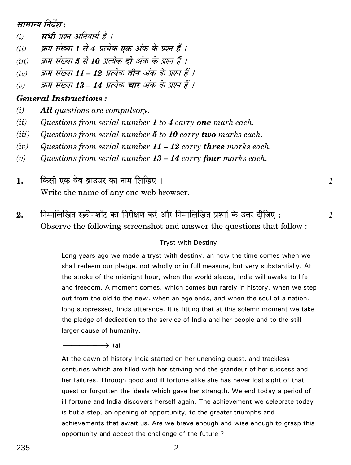## मामान्य निर्देश :

- मभी प्रश्न अनिवार्य हैं ।  $(i)$
- क्रम संख्या 1 से 4 प्रत्येक **एक** अंक के प्रश्न हैं 1  $(ii)$
- क्रम संख्या 5 से 10 प्रत्येक दो अंक के प्रश्न हैं ।  $(iii)$
- क्रम संख्या 11 12 प्रत्येक तीन अंक के प्रश्न हैं ।  $(iv)$
- क्रम संख्या 13 14 प्रत्येक चार अंक के प्रश्न हैं ।  $(v)$

## **General Instructions:**

- $(i)$ **All** questions are compulsory.
- $(ii)$ Questions from serial number 1 to 4 carry one mark each.
- Questions from serial number 5 to 10 carry two marks each.  $(iii)$
- $(iv)$ Questions from serial number  $11 - 12$  carry three marks each.
- $(v)$ Questions from serial number  $13 - 14$  carry four marks each.
- किसी एक वेब ब्राउज़र का नाम लिखिए। 1. Write the name of any one web browser.
- निम्नलिखित स्क्रीनशॉट का निरीक्षण करें और निम्नलिखित प्रश्नों के उत्तर दीजिए :  $2.$ Observe the following screenshot and answer the questions that follow:

#### **Tryst with Destiny**

 $\mathcal{I}_{\mathcal{L}}$ 

 $\mathcal I$ 

Long years ago we made a tryst with destiny, an now the time comes when we shall redeem our pledge, not wholly or in full measure, but very substantially. At the stroke of the midnight hour, when the world sleeps, India will awake to life and freedom. A moment comes, which comes but rarely in history, when we step out from the old to the new, when an age ends, and when the soul of a nation, long suppressed, finds utterance. It is fitting that at this solemn moment we take the pledge of dedication to the service of India and her people and to the still larger cause of humanity.

 $\rightarrow$  (a)

At the dawn of history India started on her unending quest, and trackless centuries which are filled with her striving and the grandeur of her success and her failures. Through good and ill fortune alike she has never lost sight of that quest or forgotten the ideals which gave her strength. We end today a period of ill fortune and India discovers herself again. The achievement we celebrate today is but a step, an opening of opportunity, to the greater triumphs and achievements that await us. Are we brave enough and wise enough to grasp this opportunity and accept the challenge of the future?

 $\overline{2}$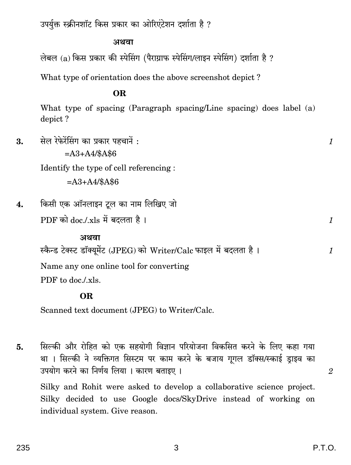उपर्युक्त स्क्रीनशॉट किस प्रकार का ओरिएंटेशन दर्शाता है ?

#### अथवा

लेबल (a) किस प्रकार की स्पेसिंग (पैराग्राफ स्पेसिंग/लाइन स्पेसिंग) दर्शाता है ?

What type of orientation does the above screenshot depict?

### **OR**

What type of spacing (Paragraph spacing/Line spacing) does label (a) depict?

सेल रेफेरेंसिंग का प्रकार पहचानें : 3.  $\mathcal{I}_{\mathcal{L}}$  $= A3 + A4/\$A\$6$ Identify the type of cell referencing:  $= A3 + A4/48 A46$ किसी एक ऑनलाइन टूल का नाम लिखिए जो  $\overline{4}$ . PDF को doc./.xls में बदलता है।  $\mathcal{I}$ अथवा स्कैन्ड टेक्स्ट डॉक्यूमेंट (JPEG) को Writer/Calc फाइल में बदलता है।  $\mathcal{I}_{\mathcal{L}}$ Name any one online tool for converting PDF to doc/xls.

## **OR**

Scanned text document (JPEG) to Writer/Calc.

सिल्की और रोहित को एक सहयोगी विज्ञान परियोजना विकसित करने के लिए कहा गया 5. था । सिल्की ने व्यक्तिगत सिस्टम पर काम करने के बजाय गूगल डॉक्स/स्काई ड़ाइव का उपयोग करने का निर्णय लिया। कारण बताइए। Silky and Rohit were asked to develop a collaborative science project. Silky decided to use Google docs/SkyDrive instead of working on individual system. Give reason.

 $\overline{2}$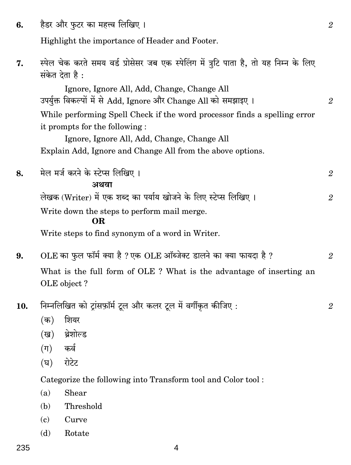हैडर और फटर का महत्त्व लिखिए। 6.

Highlight the importance of Header and Footer.

स्पेल चेक करते समय वर्ड प्रोसेसर जब एक स्पेलिंग में त्रटि पाता है. तो यह निम्न के लिए 7. संकेत देता है:

Ignore, Ignore All, Add, Change, Change All उपर्युक्त विकल्पों में से Add, Ignore और Change All को समझाइए। While performing Spell Check if the word processor finds a spelling error it prompts for the following:

Ignore, Ignore All, Add, Change, Change All Explain Add, Ignore and Change All from the above options.

मेल मर्ज करने के स्टेप्स लिखिए। 8.  $\mathfrak{D}$ अथवा लेखक (Writer) में एक शब्द का पर्याय खोजने के लिए स्टेप्स लिखिए ।  $\overline{2}$ Write down the steps to perform mail merge. OR.

Write steps to find synonym of a word in Writer.

- OLE का फल फॉर्म क्या है ? एक OLE ऑब्जेक्ट डालने का क्या फायदा है ? 9.  $\mathfrak{D}$ What is the full form of OLE ? What is the advantage of inserting an OLE object?
- निम्नलिखित को ट्रांसफ़ॉर्म टूल और कलर टूल में वर्गीकृत कीजिए: 10.
	- (क) शियर
	- थ्रेशोल्ड (ख)
	- कर्व  $(\Pi)$
	- रोटेट  $(\overline{v})$

Categorize the following into Transform tool and Color tool:

- $(a)$ Shear
- Threshold (b)
- Curve  $\epsilon$
- Rotate (d)

4

 $\mathfrak{D}$ 

 $\overline{2}$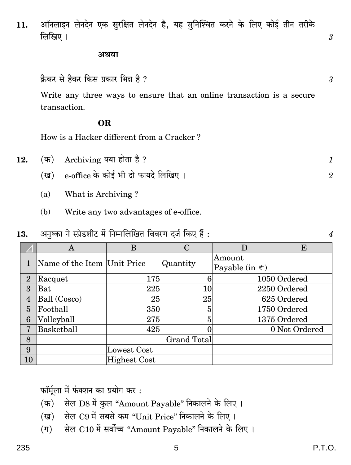ऑनलाइन लेनदेन एक सुरक्षित लेनदेन है, यह सुनिश्चित करने के लिए कोई तीन तरीके  $11.$ लिखिए ।

#### अथवा

क्रैकर से हैकर किस प्रकार भिन्न है ?

Write any three ways to ensure that an online transaction is a secure transaction.

#### **OR**

How is a Hacker different from a Cracker?

- Archiving क्या होता है ? (क) 12.
	- e-office के कोई भी दो फायदे लिखिए। (ख)
	- What is Archiving?  $(a)$
	- $(b)$ Write any two advantages of e-office.

अनुष्का ने स्प्रेडशीट में निम्नलिखित विवरण दर्ज किए हैं : 13.

|                | Α                           | B                   | С           | D                                         | E             |
|----------------|-----------------------------|---------------------|-------------|-------------------------------------------|---------------|
|                | Name of the Item Unit Price |                     | Quantity    | Amount<br>Payable (in $\overline{\tau}$ ) |               |
| $\overline{2}$ | Racquet                     | 175                 | 6           |                                           | 1050 Ordered  |
| 3              | Bat                         | 225                 | $10 \,$     |                                           | 2250 Ordered  |
| $\overline{4}$ | Ball (Cosco)                | 25                  | 25          |                                           | 625 Ordered   |
| $\overline{5}$ | Football                    | 350                 | 5           |                                           | 1750 Ordered  |
| 6              | Volleyball                  | 275                 | 5           |                                           | 1375 Ordered  |
| $\overline{7}$ | Basketball                  | 425                 |             |                                           | 0 Not Ordered |
| 8              |                             |                     | Grand Total |                                           |               |
| 9              |                             | Lowest Cost         |             |                                           |               |
| 10             |                             | <b>Highest Cost</b> |             |                                           |               |

फॉर्मूला में फंक्शन का प्रयोग कर:

- सेल D8 में कुल "Amount Payable" निकालने के लिए।  $(\overline{a})$
- सेल C9 में सबसे कम "Unit Price" निकालने के लिए। (ख)
- सेल C10 में सर्वोच्च "Amount Payable" निकालने के लिए।  $(\Pi)$

3

 $\overline{3}$ 

 $\mathcal{I}_{\mathcal{L}}$  $\overline{2}$ 

 $\boldsymbol{\mathcal{A}}$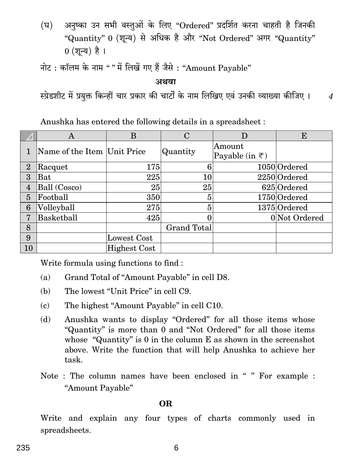(घ) अनुष्का उन सभी वस्तुओं के लिए "Ordered" प्रदर्शित करना चाहती है जिनकी "Quantity" 0 (शून्य) से अधिक है और "Not Ordered" अगर "Quantity"  $0$  (शून्य) है।

नोट: कॉलम के नाम "" में लिखें गए हैं जैसे: "Amount Payable"

**AWdm**

स्प्रेडशीट में प्रयुक्त किन्हीं चार प्रकार की चार्टों के नाम लिखिए एवं उनकी व्याख्या कीजिए । 4

Anushka has entered the following details in a spreadsheet :

|                 | Α                           | B                   | C           | D                               | E             |
|-----------------|-----------------------------|---------------------|-------------|---------------------------------|---------------|
|                 | Name of the Item Unit Price |                     | Quantity    | Amount                          |               |
|                 |                             |                     |             | Payable (in $\overline{\tau}$ ) |               |
| $\overline{2}$  | Racquet                     | 175                 | 6           |                                 | 1050 Ordered  |
| 3               | Bat                         | 225                 | 10          |                                 | 2250 Ordered  |
| $\overline{4}$  | Ball (Cosco)                | 25                  | 25          |                                 | 625 Ordered   |
| $\overline{5}$  | Football                    | 350                 | 5           |                                 | 1750 Ordered  |
| $6\phantom{1}6$ | Volleyball                  | 275                 | 5           |                                 | 1375 Ordered  |
| $\overline{7}$  | Basketball                  | 425                 |             |                                 | 0 Not Ordered |
| 8               |                             |                     | Grand Total |                                 |               |
| 9               |                             | Lowest Cost         |             |                                 |               |
| 10              |                             | <b>Highest Cost</b> |             |                                 |               |

Write formula using functions to find :

- (a) Grand Total of ''Amount Payable'' in cell D8.
- (b) The lowest "Unit Price" in cell C9.
- (c) The highest ''Amount Payable'' in cell C10.
- (d) Anushka wants to display ''Ordered'' for all those items whose ''Quantity'' is more than 0 and ''Not Ordered'' for all those items whose "Quantity" is 0 in the column E as shown in the screenshot above. Write the function that will help Anushka to achieve her task.
- Note : The column names have been enclosed in " " For example : ''Amount Payable''

#### **OR**

Write and explain any four types of charts commonly used in spreadsheets.